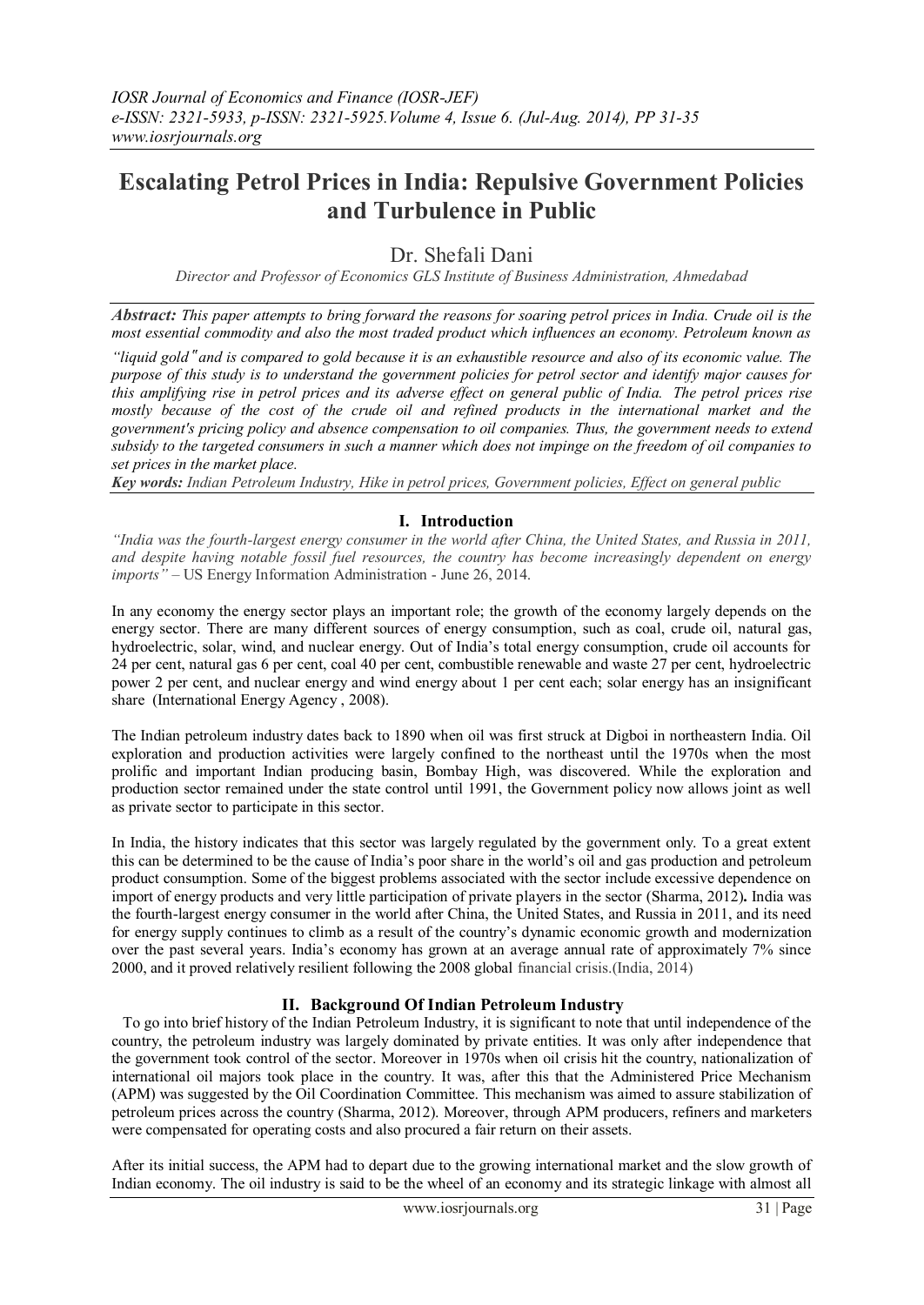# **Escalating Petrol Prices in India: Repulsive Government Policies and Turbulence in Public**

Dr. Shefali Dani

*Director and Professor of Economics GLS Institute of Business Administration, Ahmedabad*

*Abstract: This paper attempts to bring forward the reasons for soaring petrol prices in India. Crude oil is the most essential commodity and also the most traded product which influences an economy. Petroleum known as* 

*"liquid gold*" *and is compared to gold because it is an exhaustible resource and also of its economic value. The purpose of this study is to understand the government policies for petrol sector and identify major causes for this amplifying rise in petrol prices and its adverse effect on general public of India. The petrol prices rise mostly because of the cost of the crude oil and refined products in the international market and the government's pricing policy and absence compensation to oil companies. Thus, the government needs to extend subsidy to the targeted consumers in such a manner which does not impinge on the freedom of oil companies to set prices in the market place.*

*Key words: Indian Petroleum Industry, Hike in petrol prices, Government policies, Effect on general public*

## **I. Introduction**

*"India was the fourth-largest energy consumer in the world after China, the United States, and Russia in 2011, and despite having notable fossil fuel resources, the country has become increasingly dependent on energy imports" –* US Energy Information Administration - June 26, 2014.

In any economy the energy sector plays an important role; the growth of the economy largely depends on the energy sector. There are many different sources of energy consumption, such as coal, crude oil, natural gas, hydroelectric, solar, wind, and nuclear energy. Out of India's total energy consumption, crude oil accounts for 24 per cent, natural gas 6 per cent, coal 40 per cent, combustible renewable and waste 27 per cent, hydroelectric power 2 per cent, and nuclear energy and wind energy about 1 per cent each; solar energy has an insignificant share (International Energy Agency , 2008).

The Indian petroleum industry dates back to 1890 when oil was first struck at Digboi in northeastern India. Oil exploration and production activities were largely confined to the northeast until the 1970s when the most prolific and important Indian producing basin, Bombay High, was discovered. While the exploration and production sector remained under the state control until 1991, the Government policy now allows joint as well as private sector to participate in this sector.

In India, the history indicates that this sector was largely regulated by the government only. To a great extent this can be determined to be the cause of India's poor share in the world's oil and gas production and petroleum product consumption. Some of the biggest problems associated with the sector include excessive dependence on import of energy products and very little participation of private players in the sector (Sharma, 2012)**.** India was the fourth-largest energy consumer in the world after China, the United States, and Russia in 2011, and its need for energy supply continues to climb as a result of the country's dynamic economic growth and modernization over the past several years. India's economy has grown at an average annual rate of approximately 7% since 2000, and it proved relatively resilient following the 2008 global financial crisis.(India, 2014)

## **II. Background Of Indian Petroleum Industry**

To go into brief history of the Indian Petroleum Industry, it is significant to note that until independence of the country, the petroleum industry was largely dominated by private entities. It was only after independence that the government took control of the sector. Moreover in 1970s when oil crisis hit the country, nationalization of international oil majors took place in the country. It was, after this that the Administered Price Mechanism (APM) was suggested by the Oil Coordination Committee. This mechanism was aimed to assure stabilization of petroleum prices across the country (Sharma, 2012). Moreover, through APM producers, refiners and marketers were compensated for operating costs and also procured a fair return on their assets.

After its initial success, the APM had to depart due to the growing international market and the slow growth of Indian economy. The oil industry is said to be the wheel of an economy and its strategic linkage with almost all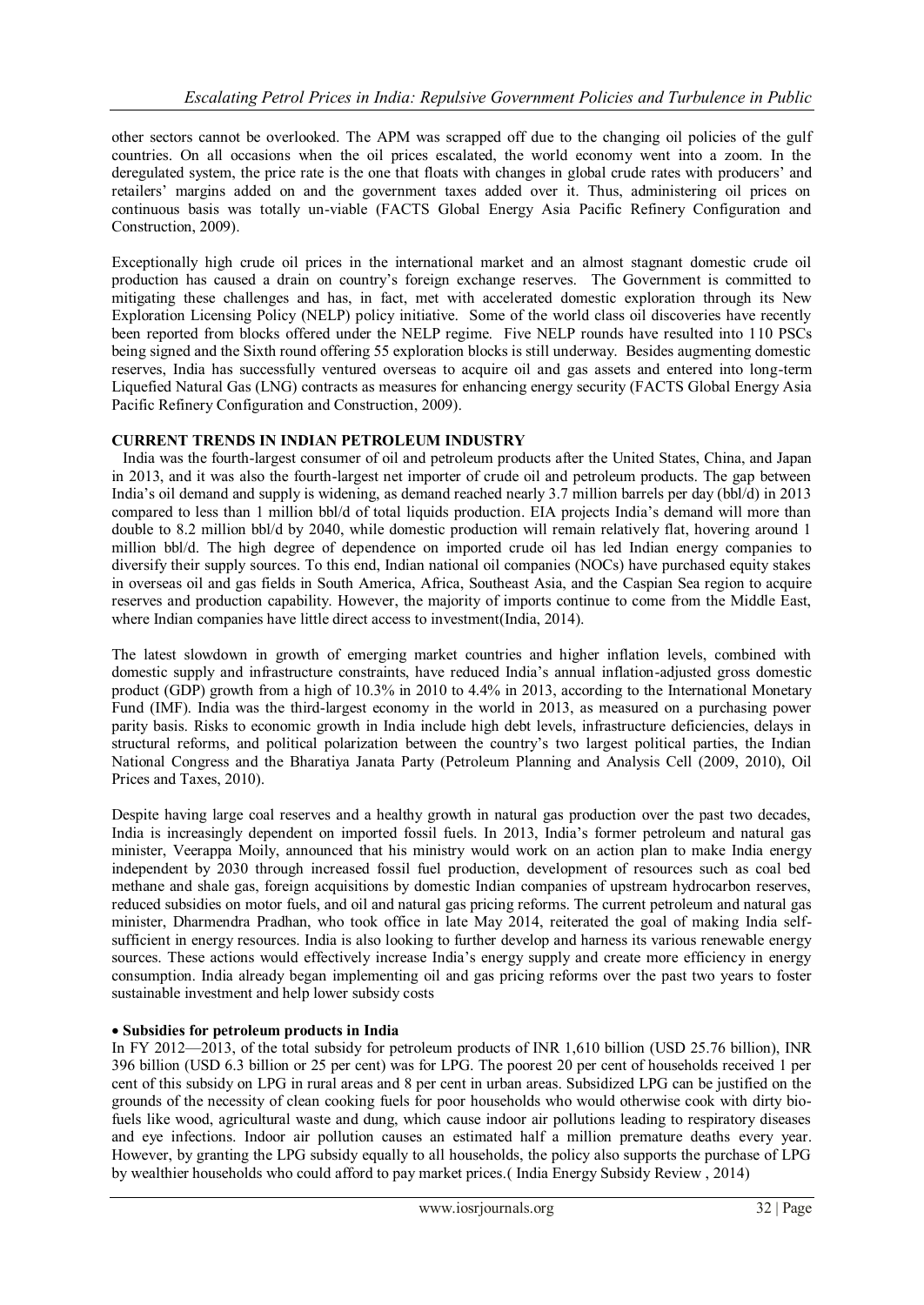other sectors cannot be overlooked. The APM was scrapped off due to the changing oil policies of the gulf countries. On all occasions when the oil prices escalated, the world economy went into a zoom. In the deregulated system, the price rate is the one that floats with changes in global crude rates with producers' and retailers' margins added on and the government taxes added over it. Thus, administering oil prices on continuous basis was totally un-viable (FACTS Global Energy Asia Pacific Refinery Configuration and Construction, 2009).

Exceptionally high crude oil prices in the international market and an almost stagnant domestic crude oil production has caused a drain on country's foreign exchange reserves. The Government is committed to mitigating these challenges and has, in fact, met with accelerated domestic exploration through its New Exploration Licensing Policy (NELP) policy initiative. Some of the world class oil discoveries have recently been reported from blocks offered under the NELP regime. Five NELP rounds have resulted into 110 PSCs being signed and the Sixth round offering 55 exploration blocks is still underway. Besides augmenting domestic reserves, India has successfully ventured overseas to acquire oil and gas assets and entered into long-term Liquefied Natural Gas (LNG) contracts as measures for enhancing energy security (FACTS Global Energy Asia Pacific Refinery Configuration and Construction, 2009).

# **CURRENT TRENDS IN INDIAN PETROLEUM INDUSTRY**

India was the fourth-largest consumer of oil and petroleum products after the United States, China, and Japan in 2013, and it was also the fourth-largest net importer of crude oil and petroleum products. The gap between India's oil demand and supply is widening, as demand reached nearly 3.7 million barrels per day (bbl/d) in 2013 compared to less than 1 million bbl/d of total liquids production. EIA projects India's demand will more than double to 8.2 million bbl/d by 2040, while domestic production will remain relatively flat, hovering around 1 million bbl/d. The high degree of dependence on imported crude oil has led Indian energy companies to diversify their supply sources. To this end, Indian national oil companies (NOCs) have purchased equity stakes in overseas oil and gas fields in South America, Africa, Southeast Asia, and the Caspian Sea region to acquire reserves and production capability. However, the majority of imports continue to come from the Middle East, where Indian companies have little direct access to investment (India, 2014).

The latest slowdown in growth of emerging market countries and higher inflation levels, combined with domestic supply and infrastructure constraints, have reduced India's annual inflation-adjusted gross domestic product (GDP) growth from a high of 10.3% in 2010 to 4.4% in 2013, according to the International Monetary Fund (IMF). India was the third-largest economy in the world in 2013, as measured on a purchasing power parity basis. Risks to economic growth in India include high debt levels, infrastructure deficiencies, delays in structural reforms, and political polarization between the country's two largest political parties, the Indian National Congress and the Bharatiya Janata Party (Petroleum Planning and Analysis Cell (2009, 2010), Oil Prices and Taxes, 2010).

Despite having large coal reserves and a healthy growth in natural gas production over the past two decades, India is increasingly dependent on imported fossil fuels. In 2013, India's former petroleum and natural gas minister, Veerappa Moily, announced that his ministry would work on an action plan to make India energy independent by 2030 through increased fossil fuel production, development of resources such as coal bed methane and shale gas, foreign acquisitions by domestic Indian companies of upstream hydrocarbon reserves, reduced subsidies on motor fuels, and oil and natural gas pricing reforms. The current petroleum and natural gas minister, Dharmendra Pradhan, who took office in late May 2014, reiterated the goal of making India selfsufficient in energy resources. India is also looking to further develop and harness its various renewable energy sources. These actions would effectively increase India's energy supply and create more efficiency in energy consumption. India already began implementing oil and gas pricing reforms over the past two years to foster sustainable investment and help lower subsidy costs

## **Subsidies for petroleum products in India**

In FY 2012—2013, of the total subsidy for petroleum products of INR 1,610 billion (USD 25.76 billion), INR 396 billion (USD 6.3 billion or 25 per cent) was for LPG. The poorest 20 per cent of households received 1 per cent of this subsidy on LPG in rural areas and 8 per cent in urban areas. Subsidized LPG can be justified on the grounds of the necessity of clean cooking fuels for poor households who would otherwise cook with dirty biofuels like wood, agricultural waste and dung, which cause indoor air pollutions leading to respiratory diseases and eye infections. Indoor air pollution causes an estimated half a million premature deaths every year. However, by granting the LPG subsidy equally to all households, the policy also supports the purchase of LPG by wealthier households who could afford to pay market prices.( India Energy Subsidy Review , 2014)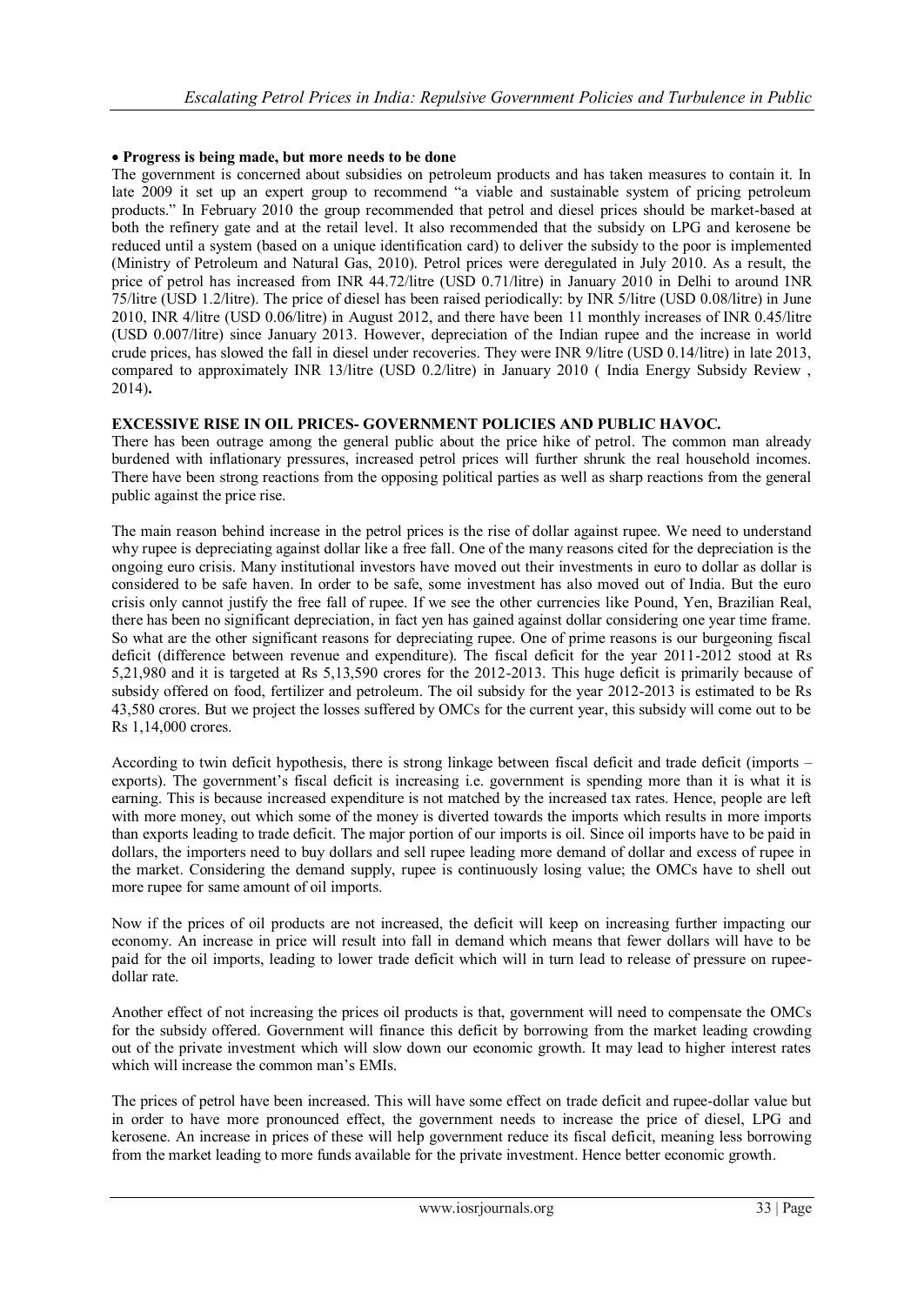## **Progress is being made, but more needs to be done**

The government is concerned about subsidies on petroleum products and has taken measures to contain it. In late 2009 it set up an expert group to recommend "a viable and sustainable system of pricing petroleum products.‖ In February 2010 the group recommended that petrol and diesel prices should be market-based at both the refinery gate and at the retail level. It also recommended that the subsidy on LPG and kerosene be reduced until a system (based on a unique identification card) to deliver the subsidy to the poor is implemented (Ministry of Petroleum and Natural Gas, 2010). Petrol prices were deregulated in July 2010. As a result, the price of petrol has increased from INR 44.72/litre (USD 0.71/litre) in January 2010 in Delhi to around INR 75/litre (USD 1.2/litre). The price of diesel has been raised periodically: by INR 5/litre (USD 0.08/litre) in June 2010, INR 4/litre (USD 0.06/litre) in August 2012, and there have been 11 monthly increases of INR 0.45/litre (USD 0.007/litre) since January 2013. However, depreciation of the Indian rupee and the increase in world crude prices, has slowed the fall in diesel under recoveries. They were INR 9/litre (USD 0.14/litre) in late 2013, compared to approximately INR 13/litre (USD 0.2/litre) in January 2010 ( India Energy Subsidy Review , 2014)**.**

## **EXCESSIVE RISE IN OIL PRICES- GOVERNMENT POLICIES AND PUBLIC HAVOC.**

There has been outrage among the general public about the price hike of petrol. The common man already burdened with inflationary pressures, increased petrol prices will further shrunk the real household incomes. There have been strong reactions from the opposing political parties as well as sharp reactions from the general public against the price rise.

The main reason behind increase in the petrol prices is the rise of dollar against rupee. We need to understand why rupee is depreciating against dollar like a free fall. One of the many reasons cited for the depreciation is the ongoing euro crisis. Many institutional investors have moved out their investments in euro to dollar as dollar is considered to be safe haven. In order to be safe, some investment has also moved out of India. But the euro crisis only cannot justify the free fall of rupee. If we see the other currencies like Pound, Yen, Brazilian Real, there has been no significant depreciation, in fact yen has gained against dollar considering one year time frame. So what are the other significant reasons for depreciating rupee. One of prime reasons is our burgeoning fiscal deficit (difference between revenue and expenditure). The fiscal deficit for the year 2011-2012 stood at Rs 5,21,980 and it is targeted at Rs 5,13,590 crores for the 2012-2013. This huge deficit is primarily because of subsidy offered on food, fertilizer and petroleum. The oil subsidy for the year 2012-2013 is estimated to be Rs 43,580 crores. But we project the losses suffered by OMCs for the current year, this subsidy will come out to be Rs 1,14,000 crores.

According to twin deficit hypothesis, there is strong linkage between fiscal deficit and trade deficit (imports – exports). The government's fiscal deficit is increasing i.e. government is spending more than it is what it is earning. This is because increased expenditure is not matched by the increased tax rates. Hence, people are left with more money, out which some of the money is diverted towards the imports which results in more imports than exports leading to trade deficit. The major portion of our imports is oil. Since oil imports have to be paid in dollars, the importers need to buy dollars and sell rupee leading more demand of dollar and excess of rupee in the market. Considering the demand supply, rupee is continuously losing value; the OMCs have to shell out more rupee for same amount of oil imports.

Now if the prices of oil products are not increased, the deficit will keep on increasing further impacting our economy. An increase in price will result into fall in demand which means that fewer dollars will have to be paid for the oil imports, leading to lower trade deficit which will in turn lead to release of pressure on rupeedollar rate.

Another effect of not increasing the prices oil products is that, government will need to compensate the OMCs for the subsidy offered. Government will finance this deficit by borrowing from the market leading crowding out of the private investment which will slow down our economic growth. It may lead to higher interest rates which will increase the common man's EMIs.

The prices of petrol have been increased. This will have some effect on trade deficit and rupee-dollar value but in order to have more pronounced effect, the government needs to increase the price of diesel, LPG and kerosene. An increase in prices of these will help government reduce its fiscal deficit, meaning less borrowing from the market leading to more funds available for the private investment. Hence better economic growth.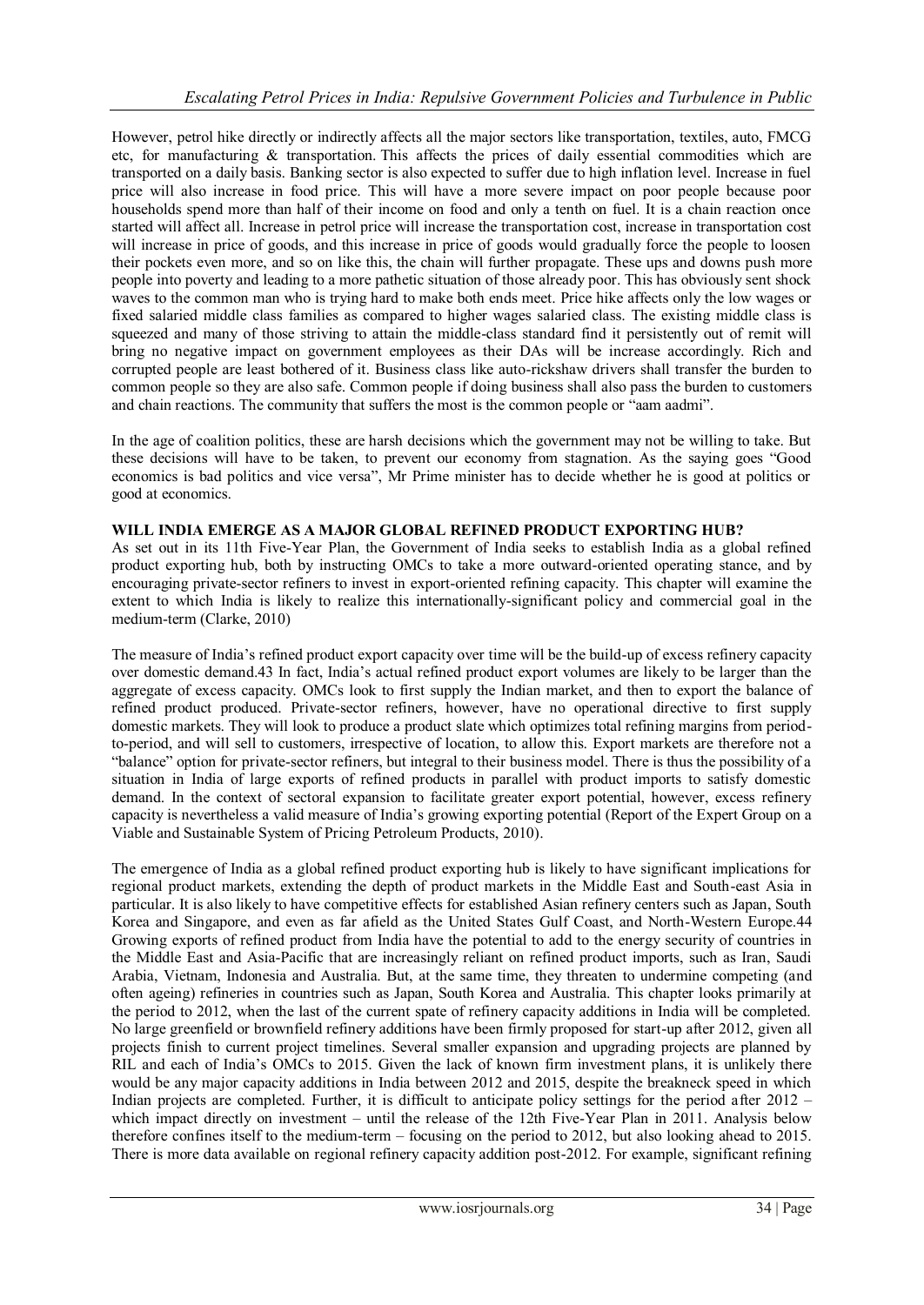However, petrol hike directly or indirectly affects all the major sectors like transportation, textiles, auto, FMCG etc, for manufacturing  $\&$  transportation. This affects the prices of daily essential commodities which are transported on a daily basis. Banking sector is also expected to suffer due to high inflation level. Increase in fuel price will also increase in food price. This will have a more severe impact on poor people because poor households spend more than half of their income on food and only a tenth on fuel. It is a chain reaction once started will affect all. Increase in petrol price will increase the transportation cost, increase in transportation cost will increase in price of goods, and this increase in price of goods would gradually force the people to loosen their pockets even more, and so on like this, the chain will further propagate. These ups and downs push more people into poverty and leading to a more pathetic situation of those already poor. This has obviously sent shock waves to the common man who is trying hard to make both ends meet. Price hike affects only the low wages or fixed salaried middle class families as compared to higher wages salaried class. The existing middle class is squeezed and many of those striving to attain the middle-class standard find it persistently out of remit will bring no negative impact on government employees as their DAs will be increase accordingly. Rich and corrupted people are least bothered of it. Business class like auto-rickshaw drivers shall transfer the burden to common people so they are also safe. Common people if doing business shall also pass the burden to customers and chain reactions. The community that suffers the most is the common people or "aam aadmi".

In the age of coalition politics, these are harsh decisions which the government may not be willing to take. But these decisions will have to be taken, to prevent our economy from stagnation. As the saying goes "Good" economics is bad politics and vice versa", Mr Prime minister has to decide whether he is good at politics or good at economics.

## **WILL INDIA EMERGE AS A MAJOR GLOBAL REFINED PRODUCT EXPORTING HUB?**

As set out in its 11th Five-Year Plan, the Government of India seeks to establish India as a global refined product exporting hub, both by instructing OMCs to take a more outward-oriented operating stance, and by encouraging private-sector refiners to invest in export-oriented refining capacity. This chapter will examine the extent to which India is likely to realize this internationally-significant policy and commercial goal in the medium-term (Clarke, 2010)

The measure of India's refined product export capacity over time will be the build-up of excess refinery capacity over domestic demand.43 In fact, India's actual refined product export volumes are likely to be larger than the aggregate of excess capacity. OMCs look to first supply the Indian market, and then to export the balance of refined product produced. Private-sector refiners, however, have no operational directive to first supply domestic markets. They will look to produce a product slate which optimizes total refining margins from periodto-period, and will sell to customers, irrespective of location, to allow this. Export markets are therefore not a ―balance‖ option for private-sector refiners, but integral to their business model. There is thus the possibility of a situation in India of large exports of refined products in parallel with product imports to satisfy domestic demand. In the context of sectoral expansion to facilitate greater export potential, however, excess refinery capacity is nevertheless a valid measure of India's growing exporting potential (Report of the Expert Group on a Viable and Sustainable System of Pricing Petroleum Products, 2010).

The emergence of India as a global refined product exporting hub is likely to have significant implications for regional product markets, extending the depth of product markets in the Middle East and South-east Asia in particular. It is also likely to have competitive effects for established Asian refinery centers such as Japan, South Korea and Singapore, and even as far afield as the United States Gulf Coast, and North-Western Europe.44 Growing exports of refined product from India have the potential to add to the energy security of countries in the Middle East and Asia-Pacific that are increasingly reliant on refined product imports, such as Iran, Saudi Arabia, Vietnam, Indonesia and Australia. But, at the same time, they threaten to undermine competing (and often ageing) refineries in countries such as Japan, South Korea and Australia. This chapter looks primarily at the period to 2012, when the last of the current spate of refinery capacity additions in India will be completed. No large greenfield or brownfield refinery additions have been firmly proposed for start-up after 2012, given all projects finish to current project timelines. Several smaller expansion and upgrading projects are planned by RIL and each of India's OMCs to 2015. Given the lack of known firm investment plans, it is unlikely there would be any major capacity additions in India between 2012 and 2015, despite the breakneck speed in which Indian projects are completed. Further, it is difficult to anticipate policy settings for the period after 2012 – which impact directly on investment – until the release of the 12th Five-Year Plan in 2011. Analysis below therefore confines itself to the medium-term – focusing on the period to 2012, but also looking ahead to 2015. There is more data available on regional refinery capacity addition post-2012. For example, significant refining